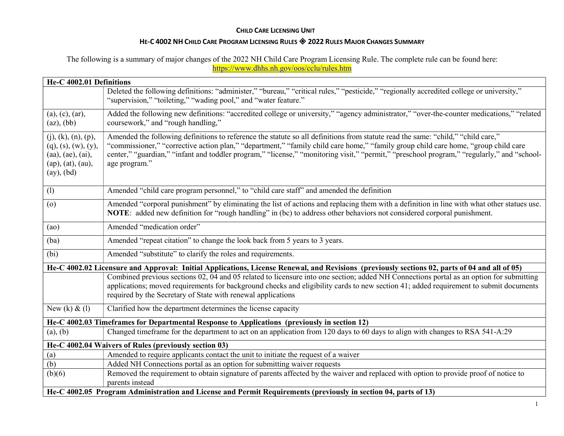### HE-C 4002 NH CHILD CARE PROGRAM LICENSING RULES 2022 RULES MAJOR CHANGES SUMMARY

The following is a summary of major changes of the 2022 NH Child Care Program Licensing Rule. The complete rule can be found here: https://www.dhhs.nh.gov/oos/cclu/rules.htm

|                                                                                                       | He-C 4002.01 Definitions                                                                                                                                                                                                                                                                                                                                                                                                              |  |
|-------------------------------------------------------------------------------------------------------|---------------------------------------------------------------------------------------------------------------------------------------------------------------------------------------------------------------------------------------------------------------------------------------------------------------------------------------------------------------------------------------------------------------------------------------|--|
|                                                                                                       | Deleted the following definitions: "administer," "bureau," "critical rules," "pesticide," "regionally accredited college or university,"<br>"supervision," "toileting," "wading pool," and "water feature."                                                                                                                                                                                                                           |  |
| (a), (c), (ar),<br>$(az)$ , $(bb)$                                                                    | Added the following new definitions: "accredited college or university," "agency administrator," "over-the-counter medications," "related<br>coursework," and "rough handling,"                                                                                                                                                                                                                                                       |  |
| (j), (k), (n), (p),<br>$(q)$ , (s), (w), (y),<br>(aa), (ae), (ai),<br>(ap), (at), (au),<br>(ay), (bd) | Amended the following definitions to reference the statute so all definitions from statute read the same: "child," "child care,"<br>"commissioner," "corrective action plan," "department," "family child care home," "family group child care home, "group child care<br>center," "guardian," "infant and toddler program," "license," "monitoring visit," "permit," "preschool program," "regularly," and "school-<br>age program." |  |
| (1)                                                                                                   | Amended "child care program personnel," to "child care staff" and amended the definition                                                                                                                                                                                                                                                                                                                                              |  |
| (o)                                                                                                   | Amended "corporal punishment" by eliminating the list of actions and replacing them with a definition in line with what other statues use.<br>NOTE: added new definition for "rough handling" in (bc) to address other behaviors not considered corporal punishment.                                                                                                                                                                  |  |
| (ao)                                                                                                  | Amended "medication order"                                                                                                                                                                                                                                                                                                                                                                                                            |  |
| (ba)                                                                                                  | Amended "repeat citation" to change the look back from 5 years to 3 years.                                                                                                                                                                                                                                                                                                                                                            |  |
| (bi)                                                                                                  | Amended "substitute" to clarify the roles and requirements.                                                                                                                                                                                                                                                                                                                                                                           |  |
|                                                                                                       | He-C 4002.02 Licensure and Approval: Initial Applications, License Renewal, and Revisions (previously sections 02, parts of 04 and all of 05)                                                                                                                                                                                                                                                                                         |  |
|                                                                                                       | Combined previous sections 02, 04 and 05 related to licensure into one section; added NH Connections portal as an option for submitting<br>applications; moved requirements for background checks and eligibility cards to new section 41; added requirement to submit documents<br>required by the Secretary of State with renewal applications                                                                                      |  |
| New $(k)$ & $(l)$                                                                                     | Clarified how the department determines the license capacity                                                                                                                                                                                                                                                                                                                                                                          |  |
| He-C 4002.03 Timeframes for Departmental Response to Applications (previously in section 12)          |                                                                                                                                                                                                                                                                                                                                                                                                                                       |  |
| (a), (b)                                                                                              | Changed timeframe for the department to act on an application from 120 days to 60 days to align with changes to RSA 541-A:29                                                                                                                                                                                                                                                                                                          |  |
|                                                                                                       | He-C 4002.04 Waivers of Rules (previously section 03)                                                                                                                                                                                                                                                                                                                                                                                 |  |
| (a)                                                                                                   | Amended to require applicants contact the unit to initiate the request of a waiver                                                                                                                                                                                                                                                                                                                                                    |  |
|                                                                                                       |                                                                                                                                                                                                                                                                                                                                                                                                                                       |  |
|                                                                                                       |                                                                                                                                                                                                                                                                                                                                                                                                                                       |  |
|                                                                                                       |                                                                                                                                                                                                                                                                                                                                                                                                                                       |  |
| (b)<br>(b)(6)                                                                                         | Added NH Connections portal as an option for submitting waiver requests<br>Removed the requirement to obtain signature of parents affected by the waiver and replaced with option to provide proof of notice to<br>parents instead<br>He-C 4002.05 Program Administration and License and Permit Requirements (previously in section 04, parts of 13)                                                                                 |  |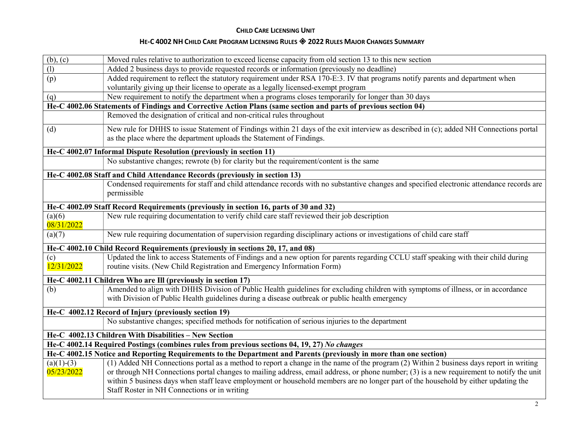| (b), (c)                                                                              | Moved rules relative to authorization to exceed license capacity from old section 13 to this new section                                                                                                                                                                           |  |
|---------------------------------------------------------------------------------------|------------------------------------------------------------------------------------------------------------------------------------------------------------------------------------------------------------------------------------------------------------------------------------|--|
| $\overline{(\mathbf{l})}$                                                             | Added 2 business days to provide requested records or information (previously no deadline)                                                                                                                                                                                         |  |
| (p)                                                                                   | Added requirement to reflect the statutory requirement under RSA 170-E:3. IV that programs notify parents and department when                                                                                                                                                      |  |
|                                                                                       | voluntarily giving up their license to operate as a legally licensed-exempt program                                                                                                                                                                                                |  |
| (q)                                                                                   | New requirement to notify the department when a programs closes temporarily for longer than 30 days                                                                                                                                                                                |  |
|                                                                                       | He-C 4002.06 Statements of Findings and Corrective Action Plans (same section and parts of previous section 04)                                                                                                                                                                    |  |
|                                                                                       | Removed the designation of critical and non-critical rules throughout                                                                                                                                                                                                              |  |
| (d)                                                                                   | New rule for DHHS to issue Statement of Findings within 21 days of the exit interview as described in (c); added NH Connections portal                                                                                                                                             |  |
|                                                                                       | as the place where the department uploads the Statement of Findings.                                                                                                                                                                                                               |  |
|                                                                                       | He-C 4002.07 Informal Dispute Resolution (previously in section 11)                                                                                                                                                                                                                |  |
|                                                                                       | No substantive changes; rewrote (b) for clarity but the requirement/content is the same                                                                                                                                                                                            |  |
|                                                                                       | He-C 4002.08 Staff and Child Attendance Records (previously in section 13)                                                                                                                                                                                                         |  |
|                                                                                       | Condensed requirements for staff and child attendance records with no substantive changes and specified electronic attendance records are<br>permissible                                                                                                                           |  |
| He-C 4002.09 Staff Record Requirements (previously in section 16, parts of 30 and 32) |                                                                                                                                                                                                                                                                                    |  |
| (a)(6)<br>08/31/2022                                                                  | New rule requiring documentation to verify child care staff reviewed their job description                                                                                                                                                                                         |  |
| (a)(7)                                                                                | New rule requiring documentation of supervision regarding disciplinary actions or investigations of child care staff                                                                                                                                                               |  |
|                                                                                       | He-C 4002.10 Child Record Requirements (previously in sections 20, 17, and 08)                                                                                                                                                                                                     |  |
| (c)<br>12/31/2022                                                                     | Updated the link to access Statements of Findings and a new option for parents regarding CCLU staff speaking with their child during<br>routine visits. (New Child Registration and Emergency Information Form)                                                                    |  |
|                                                                                       | He-C 4002.11 Children Who are Ill (previously in section 17)                                                                                                                                                                                                                       |  |
| (b)                                                                                   | Amended to align with DHHS Division of Public Health guidelines for excluding children with symptoms of illness, or in accordance<br>with Division of Public Health guidelines during a disease outbreak or public health emergency                                                |  |
|                                                                                       | He-C 4002.12 Record of Injury (previously section 19)                                                                                                                                                                                                                              |  |
|                                                                                       | No substantive changes; specified methods for notification of serious injuries to the department                                                                                                                                                                                   |  |
|                                                                                       | He-C 4002.13 Children With Disabilities - New Section                                                                                                                                                                                                                              |  |
|                                                                                       | He-C 4002.14 Required Postings (combines rules from previous sections 04, 19, 27) No changes                                                                                                                                                                                       |  |
|                                                                                       | He-C 4002.15 Notice and Reporting Requirements to the Department and Parents (previously in more than one section)                                                                                                                                                                 |  |
| $(a)(1)-(3)$<br>05/23/2022                                                            | (1) Added NH Connections portal as a method to report a change in the name of the program (2) Within 2 business days report in writing<br>or through NH Connections portal changes to mailing address, email address, or phone number; (3) is a new requirement to notify the unit |  |
|                                                                                       | within 5 business days when staff leave employment or household members are no longer part of the household by either updating the<br>Staff Roster in NH Connections or in writing                                                                                                 |  |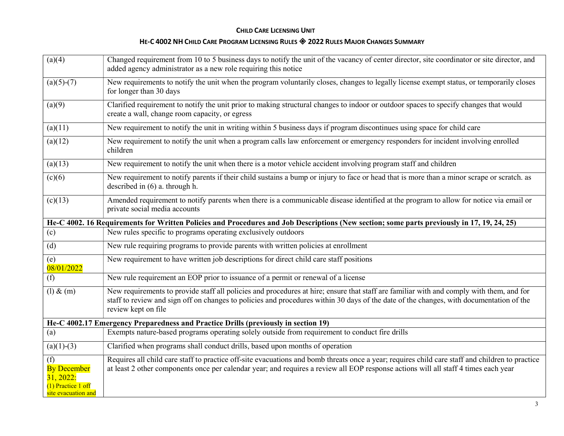| (a)(4)                                                                                | Changed requirement from 10 to 5 business days to notify the unit of the vacancy of center director, site coordinator or site director, and<br>added agency administrator as a new role requiring this notice                                                                                              |
|---------------------------------------------------------------------------------------|------------------------------------------------------------------------------------------------------------------------------------------------------------------------------------------------------------------------------------------------------------------------------------------------------------|
| $(a)(5)-(7)$                                                                          | New requirements to notify the unit when the program voluntarily closes, changes to legally license exempt status, or temporarily closes<br>for longer than 30 days                                                                                                                                        |
| (a)(9)                                                                                | Clarified requirement to notify the unit prior to making structural changes to indoor or outdoor spaces to specify changes that would<br>create a wall, change room capacity, or egress                                                                                                                    |
| (a)(11)                                                                               | New requirement to notify the unit in writing within 5 business days if program discontinues using space for child care                                                                                                                                                                                    |
| (a)(12)                                                                               | New requirement to notify the unit when a program calls law enforcement or emergency responders for incident involving enrolled<br>children                                                                                                                                                                |
| (a)(13)                                                                               | New requirement to notify the unit when there is a motor vehicle accident involving program staff and children                                                                                                                                                                                             |
| (c)(6)                                                                                | New requirement to notify parents if their child sustains a bump or injury to face or head that is more than a minor scrape or scratch. as<br>described in $(6)$ a. through h.                                                                                                                             |
| (c)(13)                                                                               | Amended requirement to notify parents when there is a communicable disease identified at the program to allow for notice via email or<br>private social media accounts                                                                                                                                     |
|                                                                                       | He-C 4002. 16 Requirements for Written Policies and Procedures and Job Descriptions (New section; some parts previously in 17, 19, 24, 25)                                                                                                                                                                 |
| (c)                                                                                   | New rules specific to programs operating exclusively outdoors                                                                                                                                                                                                                                              |
| (d)                                                                                   | New rule requiring programs to provide parents with written policies at enrollment                                                                                                                                                                                                                         |
| (e)<br>08/01/2022                                                                     | New requirement to have written job descriptions for direct child care staff positions                                                                                                                                                                                                                     |
| (f)                                                                                   | New rule requirement an EOP prior to issuance of a permit or renewal of a license                                                                                                                                                                                                                          |
| $(l)$ & $(m)$                                                                         | New requirements to provide staff all policies and procedures at hire; ensure that staff are familiar with and comply with them, and for<br>staff to review and sign off on changes to policies and procedures within 30 days of the date of the changes, with documentation of the<br>review kept on file |
|                                                                                       | He-C 4002.17 Emergency Preparedness and Practice Drills (previously in section 19)                                                                                                                                                                                                                         |
| (a)                                                                                   | Exempts nature-based programs operating solely outside from requirement to conduct fire drills                                                                                                                                                                                                             |
| $(a)(1)-(3)$                                                                          | Clarified when programs shall conduct drills, based upon months of operation                                                                                                                                                                                                                               |
| (f)<br><b>By December</b><br>31, 2022:<br>$(1)$ Practice 1 off<br>site evacuation and | Requires all child care staff to practice off-site evacuations and bomb threats once a year; requires child care staff and children to practice<br>at least 2 other components once per calendar year; and requires a review all EOP response actions will all staff 4 times each year                     |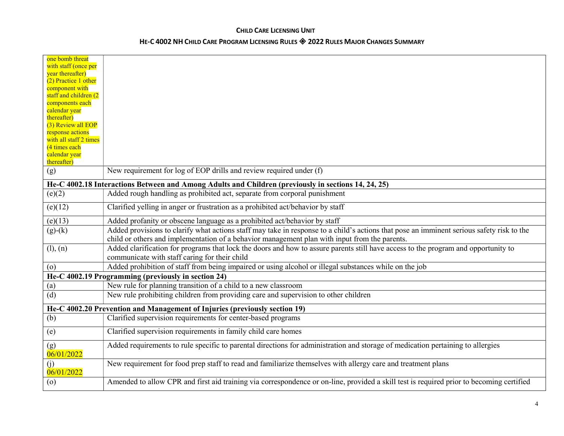| one bomb threat                                                            |                                                                                                                                           |
|----------------------------------------------------------------------------|-------------------------------------------------------------------------------------------------------------------------------------------|
| with staff (once per<br>year thereafter)                                   |                                                                                                                                           |
| (2) Practice 1 other                                                       |                                                                                                                                           |
| component with                                                             |                                                                                                                                           |
| staff and children (2                                                      |                                                                                                                                           |
| components each<br>calendar year                                           |                                                                                                                                           |
| thereafter)                                                                |                                                                                                                                           |
| (3) Review all EOP                                                         |                                                                                                                                           |
| response actions                                                           |                                                                                                                                           |
| with all staff 2 times                                                     |                                                                                                                                           |
| (4 times each<br>calendar year                                             |                                                                                                                                           |
| thereafter)                                                                |                                                                                                                                           |
| (g)                                                                        | New requirement for log of EOP drills and review required under (f)                                                                       |
|                                                                            | He-C 4002.18 Interactions Between and Among Adults and Children (previously in sections 14, 24, 25)                                       |
| (e)(2)                                                                     | Added rough handling as prohibited act, separate from corporal punishment                                                                 |
| (e)(12)                                                                    | Clarified yelling in anger or frustration as a prohibited act/behavior by staff                                                           |
| (e)(13)                                                                    | Added profanity or obscene language as a prohibited act/behavior by staff                                                                 |
| $(g)-(k)$                                                                  | Added provisions to clarify what actions staff may take in response to a child's actions that pose an imminent serious safety risk to the |
|                                                                            | child or others and implementation of a behavior management plan with input from the parents.                                             |
| (l), (n)                                                                   | Added clarification for programs that lock the doors and how to assure parents still have access to the program and opportunity to        |
|                                                                            | communicate with staff caring for their child                                                                                             |
| $\left( 0 \right)$                                                         | Added prohibition of staff from being impaired or using alcohol or illegal substances while on the job                                    |
|                                                                            | He-C 4002.19 Programming (previously in section 24)                                                                                       |
| (a)                                                                        | New rule for planning transition of a child to a new classroom                                                                            |
| (d)                                                                        | New rule prohibiting children from providing care and supervision to other children                                                       |
| He-C 4002.20 Prevention and Management of Injuries (previously section 19) |                                                                                                                                           |
| (b)                                                                        | Clarified supervision requirements for center-based programs                                                                              |
| (e)                                                                        | Clarified supervision requirements in family child care homes                                                                             |
| (g)<br>06/01/2022                                                          | Added requirements to rule specific to parental directions for administration and storage of medication pertaining to allergies           |
| (i)<br>06/01/2022                                                          | New requirement for food prep staff to read and familiarize themselves with allergy care and treatment plans                              |
| $\circ$                                                                    | Amended to allow CPR and first aid training via correspondence or on-line, provided a skill test is required prior to becoming certified  |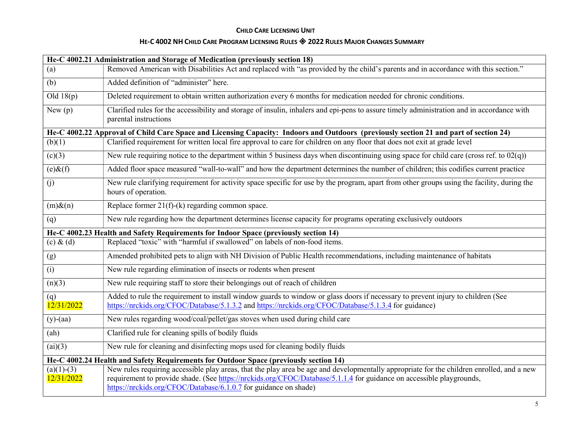| He-C 4002.21 Administration and Storage of Medication (previously section 18)         |                                                                                                                                                                                                                                                                                                                                       |
|---------------------------------------------------------------------------------------|---------------------------------------------------------------------------------------------------------------------------------------------------------------------------------------------------------------------------------------------------------------------------------------------------------------------------------------|
| (a)                                                                                   | Removed American with Disabilities Act and replaced with "as provided by the child's parents and in accordance with this section."                                                                                                                                                                                                    |
| (b)                                                                                   | Added definition of "administer" here.                                                                                                                                                                                                                                                                                                |
| Old $18(p)$                                                                           | Deleted requirement to obtain written authorization every 6 months for medication needed for chronic conditions.                                                                                                                                                                                                                      |
| New(p)                                                                                | Clarified rules for the accessibility and storage of insulin, inhalers and epi-pens to assure timely administration and in accordance with<br>parental instructions                                                                                                                                                                   |
|                                                                                       | He-C 4002.22 Approval of Child Care Space and Licensing Capacity: Indoors and Outdoors (previously section 21 and part of section 24)                                                                                                                                                                                                 |
| (b)(1)                                                                                | Clarified requirement for written local fire approval to care for children on any floor that does not exit at grade level                                                                                                                                                                                                             |
| (c)(3)                                                                                | New rule requiring notice to the department within 5 business days when discontinuing using space for child care (cross ref. to $02(q)$ )                                                                                                                                                                                             |
| $(e)$ & $(f)$                                                                         | Added floor space measured "wall-to-wall" and how the department determines the number of children; this codifies current practice                                                                                                                                                                                                    |
| (j)                                                                                   | New rule clarifying requirement for activity space specific for use by the program, apart from other groups using the facility, during the<br>hours of operation.                                                                                                                                                                     |
| $(m)$ & $(n)$                                                                         | Replace former $21(f)-(k)$ regarding common space.                                                                                                                                                                                                                                                                                    |
| (q)                                                                                   | New rule regarding how the department determines license capacity for programs operating exclusively outdoors                                                                                                                                                                                                                         |
|                                                                                       | He-C 4002.23 Health and Safety Requirements for Indoor Space (previously section 14)                                                                                                                                                                                                                                                  |
| $(c)$ & $(d)$                                                                         | Replaced "toxic" with "harmful if swallowed" on labels of non-food items.                                                                                                                                                                                                                                                             |
| (g)                                                                                   | Amended prohibited pets to align with NH Division of Public Health recommendations, including maintenance of habitats                                                                                                                                                                                                                 |
| (i)                                                                                   | New rule regarding elimination of insects or rodents when present                                                                                                                                                                                                                                                                     |
| (n)(3)                                                                                | New rule requiring staff to store their belongings out of reach of children                                                                                                                                                                                                                                                           |
| (q)<br>12/31/2022                                                                     | Added to rule the requirement to install window guards to window or glass doors if necessary to prevent injury to children (See<br>https://nrckids.org/CFOC/Database/5.1.3.2 and https://nrckids.org/CFOC/Database/5.1.3.4 for guidance)                                                                                              |
| $(y)$ -(aa)                                                                           | New rules regarding wood/coal/pellet/gas stoves when used during child care                                                                                                                                                                                                                                                           |
| (ah)                                                                                  | Clarified rule for cleaning spills of bodily fluids                                                                                                                                                                                                                                                                                   |
| (ai)(3)                                                                               | New rule for cleaning and disinfecting mops used for cleaning bodily fluids                                                                                                                                                                                                                                                           |
| He-C 4002.24 Health and Safety Requirements for Outdoor Space (previously section 14) |                                                                                                                                                                                                                                                                                                                                       |
| $(a)(1)-(3)$<br>12/31/2022                                                            | New rules requiring accessible play areas, that the play area be age and developmentally appropriate for the children enrolled, and a new<br>requirement to provide shade. (See https://nrckids.org/CFOC/Database/5.1.1.4 for guidance on accessible playgrounds,<br>https://nrckids.org/CFOC/Database/6.1.0.7 for guidance on shade) |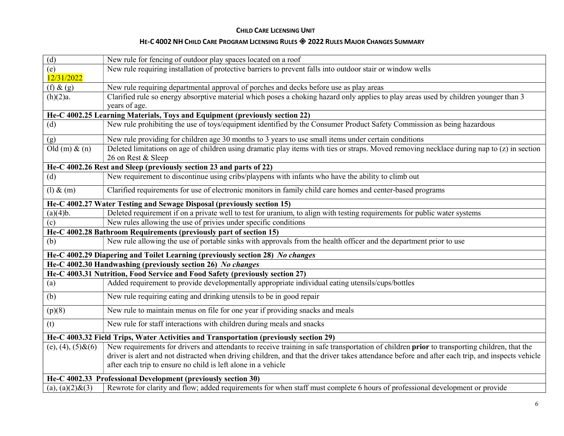| $\overline{d}$                                                     | New rule for fencing of outdoor play spaces located on a roof                                                                                   |
|--------------------------------------------------------------------|-------------------------------------------------------------------------------------------------------------------------------------------------|
| (e)                                                                | New rule requiring installation of protective barriers to prevent falls into outdoor stair or window wells                                      |
| 12/31/2022                                                         |                                                                                                                                                 |
| $(f)$ & $(g)$                                                      | New rule requiring departmental approval of porches and decks before use as play areas                                                          |
| (h)(2)a.                                                           | Clarified rule so energy absorptive material which poses a choking hazard only applies to play areas used by children younger than 3            |
|                                                                    | years of age.                                                                                                                                   |
|                                                                    | He-C 4002.25 Learning Materials, Toys and Equipment (previously section 22)                                                                     |
| (d)                                                                | New rule prohibiting the use of toys/equipment identified by the Consumer Product Safety Commission as being hazardous                          |
| (g)                                                                | New rule providing for children age 30 months to 3 years to use small items under certain conditions                                            |
| Old $(m)$ & $(n)$                                                  | Deleted limitations on age of children using dramatic play items with ties or straps. Moved removing necklace during nap to (z) in section      |
|                                                                    | 26 on Rest & Sleep                                                                                                                              |
|                                                                    | He-C 4002.26 Rest and Sleep (previously section 23 and parts of 22)                                                                             |
| (d)                                                                | New requirement to discontinue using cribs/playpens with infants who have the ability to climb out                                              |
| $(l)$ & $(m)$                                                      | Clarified requirements for use of electronic monitors in family child care homes and center-based programs                                      |
|                                                                    | He-C 4002.27 Water Testing and Sewage Disposal (previously section 15)                                                                          |
| (a)(4)b.                                                           | Deleted requirement if on a private well to test for uranium, to align with testing requirements for public water systems                       |
| (c)                                                                | New rules allowing the use of privies under specific conditions                                                                                 |
| He-C 4002.28 Bathroom Requirements (previously part of section 15) |                                                                                                                                                 |
| (b)                                                                | New rule allowing the use of portable sinks with approvals from the health officer and the department prior to use                              |
|                                                                    | He-C 4002.29 Diapering and Toilet Learning (previously section 28) No changes                                                                   |
|                                                                    | He-C 4002.30 Handwashing (previously section 26) No changes                                                                                     |
|                                                                    | He-C 4003.31 Nutrition, Food Service and Food Safety (previously section 27)                                                                    |
| (a)                                                                | Added requirement to provide developmentally appropriate individual eating utensils/cups/bottles                                                |
| (b)                                                                | New rule requiring eating and drinking utensils to be in good repair                                                                            |
| (p)(8)                                                             | New rule to maintain menus on file for one year if providing snacks and meals                                                                   |
| (t)                                                                | New rule for staff interactions with children during meals and snacks                                                                           |
|                                                                    | He-C 4003.32 Field Trips, Water Activities and Transportation (previously section 29)                                                           |
| (e), $(4)$ , $(5)$ & $(6)$                                         | New requirements for drivers and attendants to receive training in safe transportation of children prior to transporting children, that the     |
|                                                                    | driver is alert and not distracted when driving children, and that the driver takes attendance before and after each trip, and inspects vehicle |
|                                                                    | after each trip to ensure no child is left alone in a vehicle                                                                                   |
| He-C 4002.33 Professional Development (previously section 30)      |                                                                                                                                                 |
| (a), (a) $(2)$ & $(3)$                                             | Rewrote for clarity and flow; added requirements for when staff must complete 6 hours of professional development or provide                    |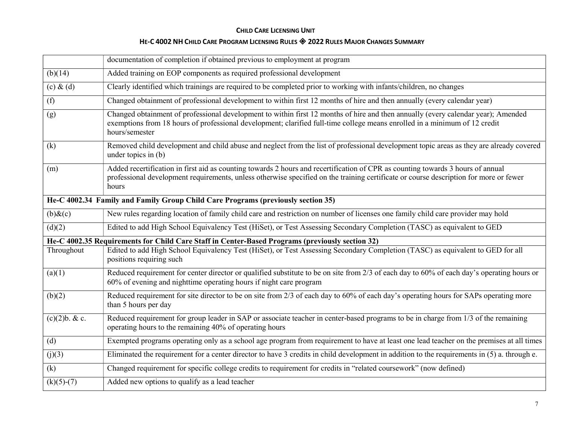|                                                                                  | documentation of completion if obtained previous to employment at program                                                                                                                                                                                                         |
|----------------------------------------------------------------------------------|-----------------------------------------------------------------------------------------------------------------------------------------------------------------------------------------------------------------------------------------------------------------------------------|
| (b)(14)                                                                          | Added training on EOP components as required professional development                                                                                                                                                                                                             |
| $(c)$ & $(d)$                                                                    | Clearly identified which trainings are required to be completed prior to working with infants/children, no changes                                                                                                                                                                |
| (f)                                                                              | Changed obtainment of professional development to within first 12 months of hire and then annually (every calendar year)                                                                                                                                                          |
| (g)                                                                              | Changed obtainment of professional development to within first 12 months of hire and then annually (every calendar year); Amended<br>exemptions from 18 hours of professional development; clarified full-time college means enrolled in a minimum of 12 credit<br>hours/semester |
| (k)                                                                              | Removed child development and child abuse and neglect from the list of professional development topic areas as they are already covered<br>under topics in $(b)$                                                                                                                  |
| (m)                                                                              | Added recertification in first aid as counting towards 2 hours and recertification of CPR as counting towards 3 hours of annual<br>professional development requirements, unless otherwise specified on the training certificate or course description for more or fewer<br>hours |
| He-C 4002.34 Family and Family Group Child Care Programs (previously section 35) |                                                                                                                                                                                                                                                                                   |
| $(b)$ & $(c)$                                                                    | New rules regarding location of family child care and restriction on number of licenses one family child care provider may hold                                                                                                                                                   |
| (d)(2)                                                                           | Edited to add High School Equivalency Test (HiSet), or Test Assessing Secondary Completion (TASC) as equivalent to GED                                                                                                                                                            |
|                                                                                  | He-C 4002.35 Requirements for Child Care Staff in Center-Based Programs (previously section 32)                                                                                                                                                                                   |
| Throughout                                                                       | Edited to add High School Equivalency Test (HiSet), or Test Assessing Secondary Completion (TASC) as equivalent to GED for all<br>positions requiring such                                                                                                                        |
| (a)(1)                                                                           | Reduced requirement for center director or qualified substitute to be on site from 2/3 of each day to 60% of each day's operating hours or<br>60% of evening and nighttime operating hours if night care program                                                                  |
| (b)(2)                                                                           | Reduced requirement for site director to be on site from 2/3 of each day to 60% of each day's operating hours for SAPs operating more<br>than 5 hours per day                                                                                                                     |
| (c)(2)b. & c.                                                                    | Reduced requirement for group leader in SAP or associate teacher in center-based programs to be in charge from 1/3 of the remaining<br>operating hours to the remaining 40% of operating hours                                                                                    |
| (d)                                                                              | Exempted programs operating only as a school age program from requirement to have at least one lead teacher on the premises at all times                                                                                                                                          |
| (j)(3)                                                                           | Eliminated the requirement for a center director to have 3 credits in child development in addition to the requirements in (5) a. through e.                                                                                                                                      |
| (k)                                                                              | Changed requirement for specific college credits to requirement for credits in "related coursework" (now defined)                                                                                                                                                                 |
| $(k)(5)-(7)$                                                                     | Added new options to qualify as a lead teacher                                                                                                                                                                                                                                    |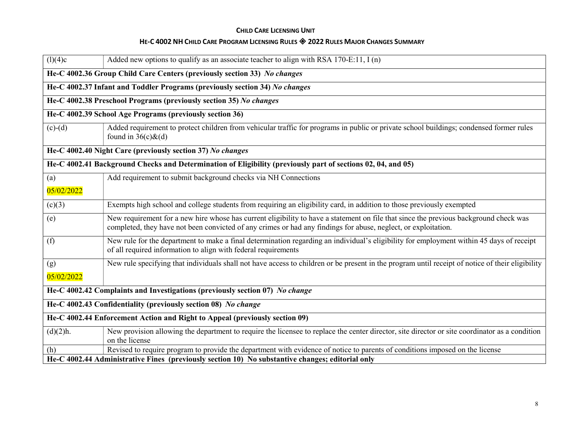| (l)(4)c                                                                                                      | Added new options to qualify as an associate teacher to align with RSA 170-E:11, $I(n)$                                                                                                                                                                 |  |  |
|--------------------------------------------------------------------------------------------------------------|---------------------------------------------------------------------------------------------------------------------------------------------------------------------------------------------------------------------------------------------------------|--|--|
|                                                                                                              | He-C 4002.36 Group Child Care Centers (previously section 33) No changes                                                                                                                                                                                |  |  |
|                                                                                                              | He-C 4002.37 Infant and Toddler Programs (previously section 34) No changes                                                                                                                                                                             |  |  |
|                                                                                                              | He-C 4002.38 Preschool Programs (previously section 35) No changes                                                                                                                                                                                      |  |  |
|                                                                                                              | He-C 4002.39 School Age Programs (previously section 36)                                                                                                                                                                                                |  |  |
| $(c)-(d)$                                                                                                    | Added requirement to protect children from vehicular traffic for programs in public or private school buildings; condensed former rules<br>found in $36(c)\&(d)$                                                                                        |  |  |
| He-C 4002.40 Night Care (previously section 37) No changes                                                   |                                                                                                                                                                                                                                                         |  |  |
| He-C 4002.41 Background Checks and Determination of Eligibility (previously part of sections 02, 04, and 05) |                                                                                                                                                                                                                                                         |  |  |
| (a)                                                                                                          | Add requirement to submit background checks via NH Connections                                                                                                                                                                                          |  |  |
| 05/02/2022                                                                                                   |                                                                                                                                                                                                                                                         |  |  |
| (c)(3)                                                                                                       | Exempts high school and college students from requiring an eligibility card, in addition to those previously exempted                                                                                                                                   |  |  |
| (e)                                                                                                          | New requirement for a new hire whose has current eligibility to have a statement on file that since the previous background check was<br>completed, they have not been convicted of any crimes or had any findings for abuse, neglect, or exploitation. |  |  |
| (f)                                                                                                          | New rule for the department to make a final determination regarding an individual's eligibility for employment within 45 days of receipt<br>of all required information to align with federal requirements                                              |  |  |
| (g)                                                                                                          | New rule specifying that individuals shall not have access to children or be present in the program until receipt of notice of their eligibility                                                                                                        |  |  |
| 05/02/2022                                                                                                   |                                                                                                                                                                                                                                                         |  |  |
| He-C 4002.42 Complaints and Investigations (previously section 07) No change                                 |                                                                                                                                                                                                                                                         |  |  |
| He-C 4002.43 Confidentiality (previously section 08) No change                                               |                                                                                                                                                                                                                                                         |  |  |
| He-C 4002.44 Enforcement Action and Right to Appeal (previously section 09)                                  |                                                                                                                                                                                                                                                         |  |  |
| (d)(2)h.                                                                                                     | New provision allowing the department to require the licensee to replace the center director, site director or site coordinator as a condition<br>on the license                                                                                        |  |  |
| (h)                                                                                                          | Revised to require program to provide the department with evidence of notice to parents of conditions imposed on the license                                                                                                                            |  |  |
|                                                                                                              | He-C 4002.44 Administrative Fines (previously section 10) No substantive changes; editorial only                                                                                                                                                        |  |  |